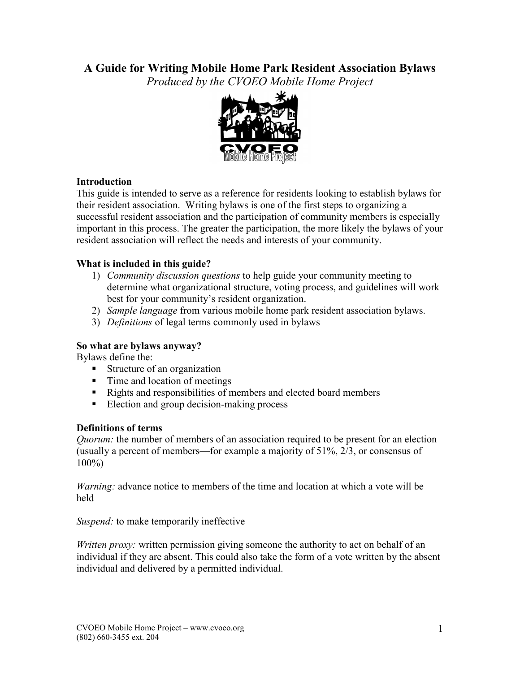# **A Guide for Writing Mobile Home Park Resident Association Bylaws**

*Produced by the CVOEO Mobile Home Project* 



## **Introduction**

This guide is intended to serve as a reference for residents looking to establish bylaws for their resident association. Writing bylaws is one of the first steps to organizing a successful resident association and the participation of community members is especially important in this process. The greater the participation, the more likely the bylaws of your resident association will reflect the needs and interests of your community.

## **What is included in this guide?**

- 1) *Community discussion questions* to help guide your community meeting to determine what organizational structure, voting process, and guidelines will work best for your community's resident organization.
- 2) *Sample language* from various mobile home park resident association bylaws.
- 3) *Definitions* of legal terms commonly used in bylaws

## **So what are bylaws anyway?**

Bylaws define the:

- Structure of an organization
- Time and location of meetings
- Rights and responsibilities of members and elected board members
- Election and group decision-making process

## **Definitions of terms**

*Quorum:* the number of members of an association required to be present for an election (usually a percent of members—for example a majority of 51%, 2/3, or consensus of 100%)

*Warning:* advance notice to members of the time and location at which a vote will be held

*Suspend:* to make temporarily ineffective

*Written proxy:* written permission giving someone the authority to act on behalf of an individual if they are absent. This could also take the form of a vote written by the absent individual and delivered by a permitted individual.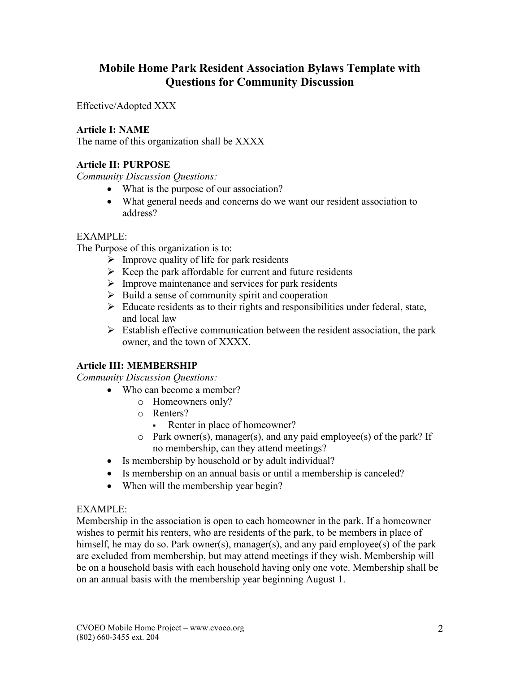# **Mobile Home Park Resident Association Bylaws Template with Questions for Community Discussion**

Effective/Adopted XXX

## **Article I: NAME**

The name of this organization shall be XXXX

## **Article II: PURPOSE**

*Community Discussion Questions:* 

- What is the purpose of our association?
- What general needs and concerns do we want our resident association to address?

## EXAMPLE:

The Purpose of this organization is to:

- $\triangleright$  Improve quality of life for park residents
- $\triangleright$  Keep the park affordable for current and future residents
- $\triangleright$  Improve maintenance and services for park residents
- $\triangleright$  Build a sense of community spirit and cooperation
- $\triangleright$  Educate residents as to their rights and responsibilities under federal, state, and local law
- $\triangleright$  Establish effective communication between the resident association, the park owner, and the town of XXXX.

## **Article III: MEMBERSHIP**

*Community Discussion Questions:* 

- Who can become a member?
	- o Homeowners only?
	- o Renters?
		- Renter in place of homeowner?
	- o Park owner(s), manager(s), and any paid employee(s) of the park? If no membership, can they attend meetings?
- Is membership by household or by adult individual?
- Is membership on an annual basis or until a membership is canceled?
- When will the membership year begin?

## EXAMPLE:

Membership in the association is open to each homeowner in the park. If a homeowner wishes to permit his renters, who are residents of the park, to be members in place of himself, he may do so. Park owner(s), manager(s), and any paid employee(s) of the park are excluded from membership, but may attend meetings if they wish. Membership will be on a household basis with each household having only one vote. Membership shall be on an annual basis with the membership year beginning August 1.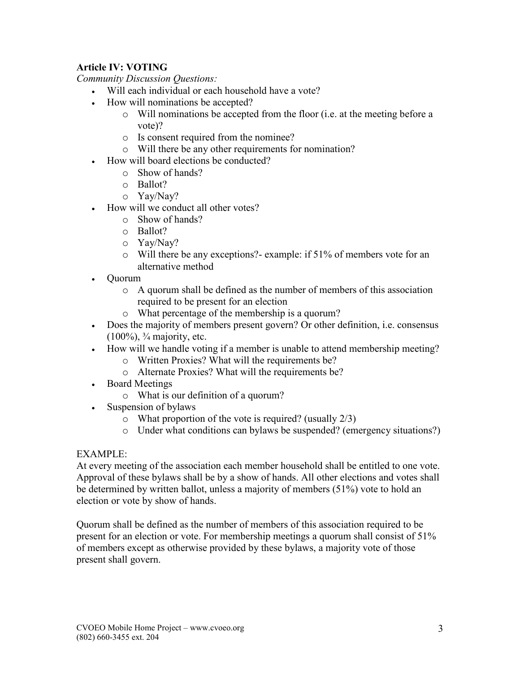## **Article IV: VOTING**

*Community Discussion Questions:* 

- Will each individual or each household have a vote?
- How will nominations be accepted?
	- o Will nominations be accepted from the floor (i.e. at the meeting before a vote)?
	- o Is consent required from the nominee?
	- o Will there be any other requirements for nomination?
- How will board elections be conducted?
	- o Show of hands?
	- o Ballot?
	- o Yay/Nay?
- How will we conduct all other votes?
	- o Show of hands?
	- o Ballot?
	- o Yay/Nay?
	- o Will there be any exceptions?- example: if 51% of members vote for an alternative method
- Quorum
	- o A quorum shall be defined as the number of members of this association required to be present for an election
	- o What percentage of the membership is a quorum?
- Does the majority of members present govern? Or other definition, i.e. consensus  $(100\%)$ ,  $\frac{3}{4}$  majority, etc.
- How will we handle voting if a member is unable to attend membership meeting?
	- o Written Proxies? What will the requirements be?
		- o Alternate Proxies? What will the requirements be?
- Board Meetings
	- o What is our definition of a quorum?
- Suspension of bylaws
	- $\circ$  What proportion of the vote is required? (usually 2/3)
	- o Under what conditions can bylaws be suspended? (emergency situations?)

## EXAMPLE:

At every meeting of the association each member household shall be entitled to one vote. Approval of these bylaws shall be by a show of hands. All other elections and votes shall be determined by written ballot, unless a majority of members (51%) vote to hold an election or vote by show of hands.

Quorum shall be defined as the number of members of this association required to be present for an election or vote. For membership meetings a quorum shall consist of 51% of members except as otherwise provided by these bylaws, a majority vote of those present shall govern.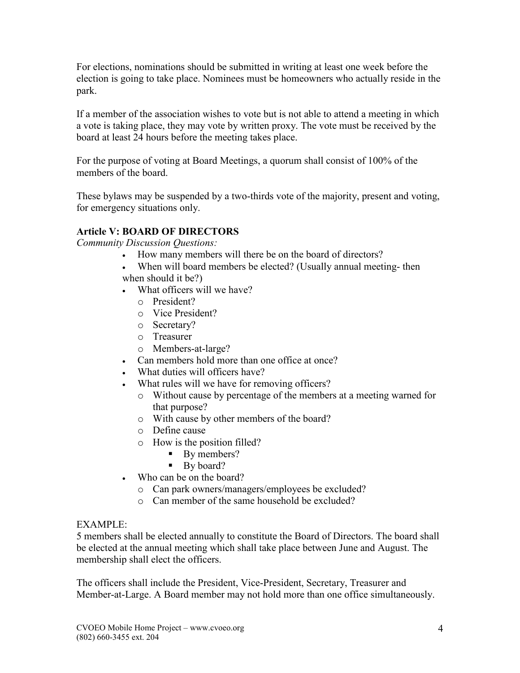For elections, nominations should be submitted in writing at least one week before the election is going to take place. Nominees must be homeowners who actually reside in the park.

If a member of the association wishes to vote but is not able to attend a meeting in which a vote is taking place, they may vote by written proxy. The vote must be received by the board at least 24 hours before the meeting takes place.

For the purpose of voting at Board Meetings, a quorum shall consist of 100% of the members of the board.

These bylaws may be suspended by a two-thirds vote of the majority, present and voting, for emergency situations only.

## **Article V: BOARD OF DIRECTORS**

*Community Discussion Questions:* 

- How many members will there be on the board of directors?
- When will board members be elected? (Usually annual meeting- then
- when should it be?)
- What officers will we have?
	- o President?
	- o Vice President?
	- o Secretary?
	- o Treasurer
	- o Members-at-large?
- Can members hold more than one office at once?
- What duties will officers have?
- What rules will we have for removing officers?
	- o Without cause by percentage of the members at a meeting warned for that purpose?
	- o With cause by other members of the board?
	- o Define cause
	- o How is the position filled?
		- By members?
		- By board?
- Who can be on the board?
	- o Can park owners/managers/employees be excluded?
	- o Can member of the same household be excluded?

## EXAMPLE:

5 members shall be elected annually to constitute the Board of Directors. The board shall be elected at the annual meeting which shall take place between June and August. The membership shall elect the officers.

The officers shall include the President, Vice-President, Secretary, Treasurer and Member-at-Large. A Board member may not hold more than one office simultaneously.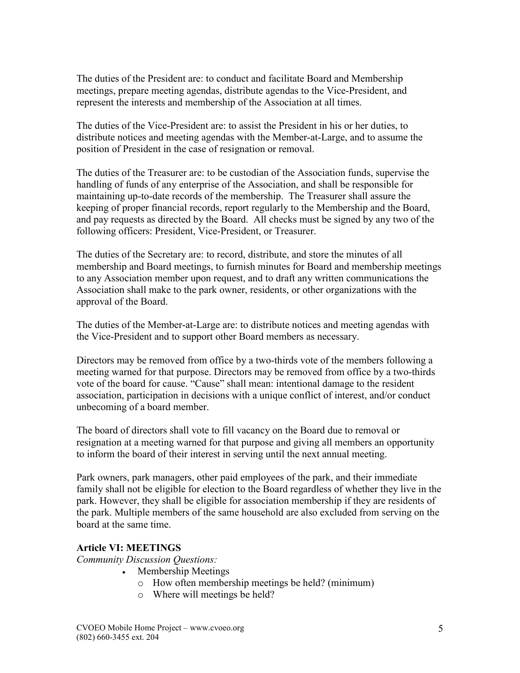The duties of the President are: to conduct and facilitate Board and Membership meetings, prepare meeting agendas, distribute agendas to the Vice-President, and represent the interests and membership of the Association at all times.

The duties of the Vice-President are: to assist the President in his or her duties, to distribute notices and meeting agendas with the Member-at-Large, and to assume the position of President in the case of resignation or removal.

The duties of the Treasurer are: to be custodian of the Association funds, supervise the handling of funds of any enterprise of the Association, and shall be responsible for maintaining up-to-date records of the membership. The Treasurer shall assure the keeping of proper financial records, report regularly to the Membership and the Board, and pay requests as directed by the Board. All checks must be signed by any two of the following officers: President, Vice-President, or Treasurer.

The duties of the Secretary are: to record, distribute, and store the minutes of all membership and Board meetings, to furnish minutes for Board and membership meetings to any Association member upon request, and to draft any written communications the Association shall make to the park owner, residents, or other organizations with the approval of the Board.

The duties of the Member-at-Large are: to distribute notices and meeting agendas with the Vice-President and to support other Board members as necessary.

Directors may be removed from office by a two-thirds vote of the members following a meeting warned for that purpose. Directors may be removed from office by a two-thirds vote of the board for cause. "Cause" shall mean: intentional damage to the resident association, participation in decisions with a unique conflict of interest, and/or conduct unbecoming of a board member.

The board of directors shall vote to fill vacancy on the Board due to removal or resignation at a meeting warned for that purpose and giving all members an opportunity to inform the board of their interest in serving until the next annual meeting.

Park owners, park managers, other paid employees of the park, and their immediate family shall not be eligible for election to the Board regardless of whether they live in the park. However, they shall be eligible for association membership if they are residents of the park. Multiple members of the same household are also excluded from serving on the board at the same time.

## **Article VI: MEETINGS**

*Community Discussion Questions:* 

- Membership Meetings
	- o How often membership meetings be held? (minimum)
	- o Where will meetings be held?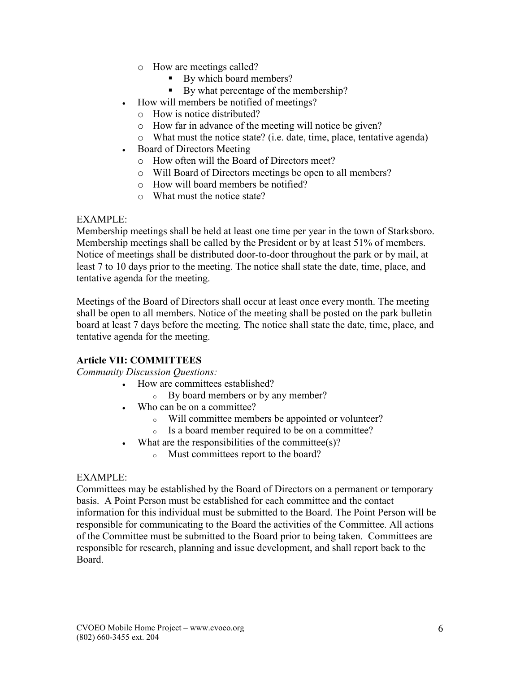- o How are meetings called?
	- § By which board members?
	- By what percentage of the membership?
- How will members be notified of meetings?
	- o How is notice distributed?
	- o How far in advance of the meeting will notice be given?
	- o What must the notice state? (i.e. date, time, place, tentative agenda)
- Board of Directors Meeting
	- o How often will the Board of Directors meet?
	- o Will Board of Directors meetings be open to all members?
	- o How will board members be notified?
	- o What must the notice state?

#### EXAMPLE:

Membership meetings shall be held at least one time per year in the town of Starksboro. Membership meetings shall be called by the President or by at least 51% of members. Notice of meetings shall be distributed door-to-door throughout the park or by mail, at least 7 to 10 days prior to the meeting. The notice shall state the date, time, place, and tentative agenda for the meeting.

Meetings of the Board of Directors shall occur at least once every month. The meeting shall be open to all members. Notice of the meeting shall be posted on the park bulletin board at least 7 days before the meeting. The notice shall state the date, time, place, and tentative agenda for the meeting.

## **Article VII: COMMITTEES**

*Community Discussion Questions:* 

- How are committees established?
	- <sup>o</sup> By board members or by any member?
- Who can be on a committee?
	- <sup>o</sup> Will committee members be appointed or volunteer?
	- <sup>o</sup> Is a board member required to be on a committee?
- What are the responsibilities of the committee(s)?
	- <sup>o</sup> Must committees report to the board?

#### EXAMPLE:

Committees may be established by the Board of Directors on a permanent or temporary basis. A Point Person must be established for each committee and the contact information for this individual must be submitted to the Board. The Point Person will be responsible for communicating to the Board the activities of the Committee. All actions of the Committee must be submitted to the Board prior to being taken. Committees are responsible for research, planning and issue development, and shall report back to the Board.